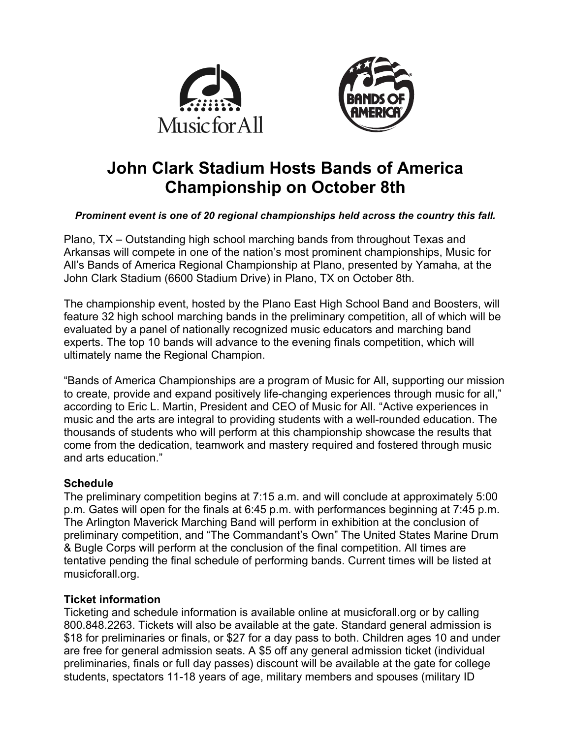



# **John Clark Stadium Hosts Bands of America Championship on October 8th**

## *Prominent event is one of 20 regional championships held across the country this fall.*

Plano, TX – Outstanding high school marching bands from throughout Texas and Arkansas will compete in one of the nation's most prominent championships, Music for All's Bands of America Regional Championship at Plano, presented by Yamaha, at the John Clark Stadium (6600 Stadium Drive) in Plano, TX on October 8th.

The championship event, hosted by the Plano East High School Band and Boosters, will feature 32 high school marching bands in the preliminary competition, all of which will be evaluated by a panel of nationally recognized music educators and marching band experts. The top 10 bands will advance to the evening finals competition, which will ultimately name the Regional Champion.

"Bands of America Championships are a program of Music for All, supporting our mission to create, provide and expand positively life-changing experiences through music for all," according to Eric L. Martin, President and CEO of Music for All. "Active experiences in music and the arts are integral to providing students with a well-rounded education. The thousands of students who will perform at this championship showcase the results that come from the dedication, teamwork and mastery required and fostered through music and arts education."

## **Schedule**

The preliminary competition begins at 7:15 a.m. and will conclude at approximately 5:00 p.m. Gates will open for the finals at 6:45 p.m. with performances beginning at 7:45 p.m. The Arlington Maverick Marching Band will perform in exhibition at the conclusion of preliminary competition, and "The Commandant's Own" The United States Marine Drum & Bugle Corps will perform at the conclusion of the final competition. All times are tentative pending the final schedule of performing bands. Current times will be listed at musicforall.org.

## **Ticket information**

Ticketing and schedule information is available online at musicforall.org or by calling 800.848.2263. Tickets will also be available at the gate. Standard general admission is \$18 for preliminaries or finals, or \$27 for a day pass to both. Children ages 10 and under are free for general admission seats. A \$5 off any general admission ticket (individual preliminaries, finals or full day passes) discount will be available at the gate for college students, spectators 11-18 years of age, military members and spouses (military ID